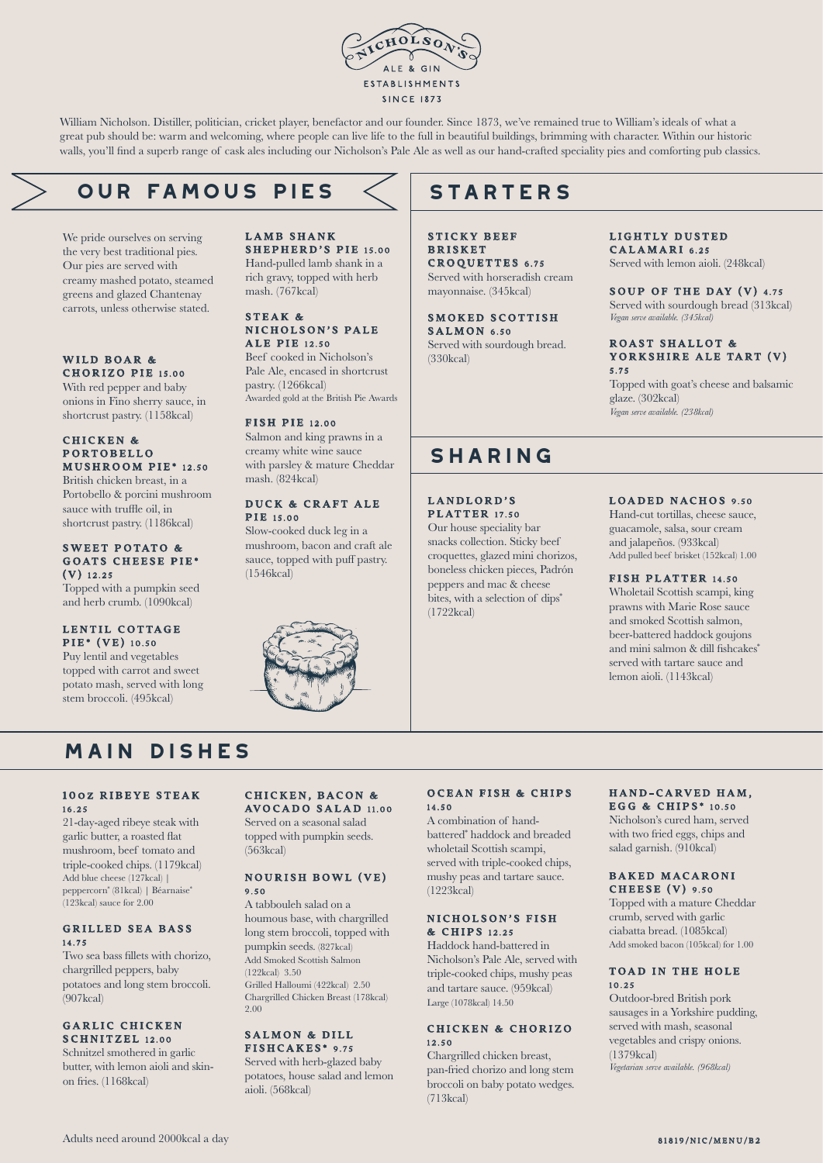

William Nicholson. Distiller, politician, cricket player, benefactor and our founder. Since 1873, we've remained true to William's ideals of what a great pub should be: warm and welcoming, where people can live life to the full in beautiful buildings, brimming with character. Within our historic walls, you'll find a superb range of cask ales including our Nicholson's Pale Ale as well as our hand-crafted speciality pies and comforting pub classics.

## **our famous PIES**

We pride ourselves on serving the very best traditional pies. Our pies are served with creamy mashed potato, steamed greens and glazed Chantenay carrots, unless otherwise stated.

#### WILD BOAR & CHORIZO PIE 15.00

With red pepper and baby onions in Fino sherry sauce, in shortcrust pastry. (1158kcal)

### CHICKEN & P ORTOBELLO MUSHROOM PIE\* 12.50

British chicken breast, in a Portobello & porcini mushroom sauce with truffle oil, in shortcrust pastry. (1186kcal)

### SWEET POTATO & GOATS CHEESE PIE\* (V) 12.25

Topped with a pumpkin seed and herb crumb. (1090kcal)

## LENTIL COTTAGE PIE\* (VE) 10.50

Puy lentil and vegetables topped with carrot and sweet potato mash, served with long stem broccoli. (495kcal)

#### LAMB SHANK SHEPHERD'S PIE 15.00 Hand-pulled lamb shank in a rich gravy, topped with herb mash. (767kcal)

#### STEAK & NICHOLSON'S PALE **ALE PIE** 12.50

Beef cooked in Nicholson's Pale Ale, encased in shortcrust pastry. (1266kcal) Awarded gold at the British Pie Awards

## FISH PIE 12.00

Salmon and king prawns in a creamy white wine sauce with parsley & mature Cheddar mash. (824kcal)

### DUCK & CRAFT ALE **PIR** 15.00

Slow-cooked duck leg in a mushroom, bacon and craft ale sauce, topped with puff pastry. (1546kcal)



# **STARTERS**

STICKY BEEF **BRISKET** CROQUETTES 6.75 Served with horseradish cream mayonnaise. (345kcal)

SMOKED SCOTTISH  $S$  A L M O N 6.50 Served with sourdough bread. (330kcal)

## LIGHTLY DUSTED

CALAMARI 6.25 Served with lemon aioli. (248kcal)

#### SOUP OF THE DAY (V)  $4.75$ Served with sourdough bread (313kcal) *Vegan serve available. (345kcal)*

### ROAST SHALLOT & YORKSHIRE ALE TART (V) 5.75

Topped with goat's cheese and balsamic glaze. (302kcal) *Vegan serve available. (238kcal)*

## **sharing**

LANDLORD'S **PLATTER** 17.50

Our house speciality bar snacks collection. Sticky beef croquettes, glazed mini chorizos, boneless chicken pieces, Padrón peppers and mac & cheese bites, with a selection of dips<sup>\*</sup> (1722kcal)

## LOADED NACHOS 9.50

Hand-cut tortillas, cheese sauce, guacamole, salsa, sour cream and jalapeños. (933kcal) Add pulled beef brisket (152kcal) 1.00

## FISH PLATTER 14.50

Wholetail Scottish scampi, king prawns with Marie Rose sauce and smoked Scottish salmon, beer-battered haddock goujons and mini salmon & dill fishcakes\* served with tartare sauce and lemon aioli. (1143kcal)

# **main dishes**

#### 100Z RIBEYE STEAK 16.25

21-day-aged ribeye steak with garlic butter, a roasted flat mushroom, beef tomato and triple-cooked chips. (1179kcal) Add blue cheese (127kcal) | peppercorn\* (81kcal) | Béarnaise\* (123kcal) sauce for 2.00

## GRILLED SEA BASS 14.75

Two sea bass fillets with chorizo, chargrilled peppers, baby potatoes and long stem broccoli.  $(907$ kcal)

## GARLIC CHICKEN SCHNITZEL 12.00

Schnitzel smothered in garlic butter, with lemon aioli and skinon fries. (1168kcal)

## CHICKEN, BACON & AVOCADO SALAD 11.00

Served on a seasonal salad topped with pumpkin seeds. (563kcal)

## NOURISH BOWL (VE) 9.50

A tabbouleh salad on a houmous base, with chargrilled long stem broccoli, topped with pumpkin seeds. (827kcal) Add Smoked Scottish Salmon (122kcal) 3.50 Grilled Halloumi (422kcal) 2.50 Chargrilled Chicken Breast (178kcal) 2.00

## SALMON & DILL FISHCAKES\* 9.75

Served with herb-glazed baby potatoes, house salad and lemon aioli. (568kcal)

## OCEAN FISH & CHIPS 14.50

A combination of handbattered\* haddock and breaded wholetail Scottish scampi, served with triple-cooked chips, mushy peas and tartare sauce. (1223kcal)

#### NICHOLSON'S FISH & C HIPS 12.25

Haddock hand-battered in Nicholson's Pale Ale, served with triple-cooked chips, mushy peas and tartare sauce. (959kcal) Large (1078kcal) 14.50

## CHICKEN & CHORIZO 12.50

Chargrilled chicken breast, pan-fried chorizo and long stem broccoli on baby potato wedges. (713kcal)

### HAND-CARVED HAM. EGG & CHIPS<sup>\*</sup> 10.50

Nicholson's cured ham, served with two fried eggs, chips and salad garnish. (910kcal)

### BAKED MACARONI CHEESE (V) 9.50

Topped with a mature Cheddar crumb, served with garlic ciabatta bread. (1085kcal) Add smoked bacon (105kcal) for 1.00

## TOAD IN THE HOLE 10.25

Outdoor-bred British pork sausages in a Yorkshire pudding, served with mash, seasonal vegetables and crispy onions. (1379kcal) *Vegetarian serve available. (968kcal)*